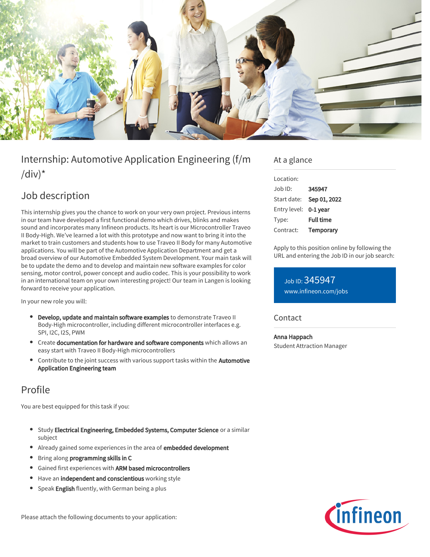

# Internship: Automotive Application Engineering (f/m  $\frac{1}{d}$

## Job description

This internship gives you the chance to work on your very own project. Previous interns in our team have developed a first functional demo which drives, blinks and makes sound and incorporates many Infineon products. Its heart is our Microcontroller Traveo II Body-High. We've learned a lot with this prototype and now want to bring it into the market to train customers and students how to use Traveo II Body for many Automotive applications. You will be part of the Automotive Application Department and get a broad overview of our Automotive Embedded System Development. Your main task will be to update the demo and to develop and maintain new software examples for color sensing, motor control, power concept and audio codec. This is your possibility to work in an international team on your own interesting project! Our team in Langen is looking forward to receive your application.

In your new role you will:

- **Develop, update and maintain software examples** to demonstrate Traveo II Body-High microcontroller, including different microcontroller interfaces e.g. SPI, I2C, I2S, PWM
- Create documentation for hardware and software components which allows an easy start with Traveo II Body-High microcontrollers
- Contribute to the joint success with various support tasks within the **Automotive** Application Engineering team

## Profile

You are best equipped for this task if you:

- **Study Electrical Engineering, Embedded Systems, Computer Science** or a similar subject
- Already gained some experiences in the area of embedded development
- **•** Bring along programming skills in C
- **•** Gained first experiences with ARM based microcontrollers
- Have an independent and conscientious working style
- Speak English fluently, with German being a plus

Please attach the following documents to your application:

### At a glance

| Location:    |                  |
|--------------|------------------|
| Job ID:      | 345947           |
| Start date:  | Sep 01, 2022     |
| Entry level: | 0-1 year         |
| Type:        | <b>Full time</b> |
| Contract:    | Temporary        |

Apply to this position online by following the URL and entering the Job ID in our job search:

Job ID: 345947 [www.infineon.com/jobs](https://www.infineon.com/jobs)

### **Contact**

Anna Happach Student Attraction Manager